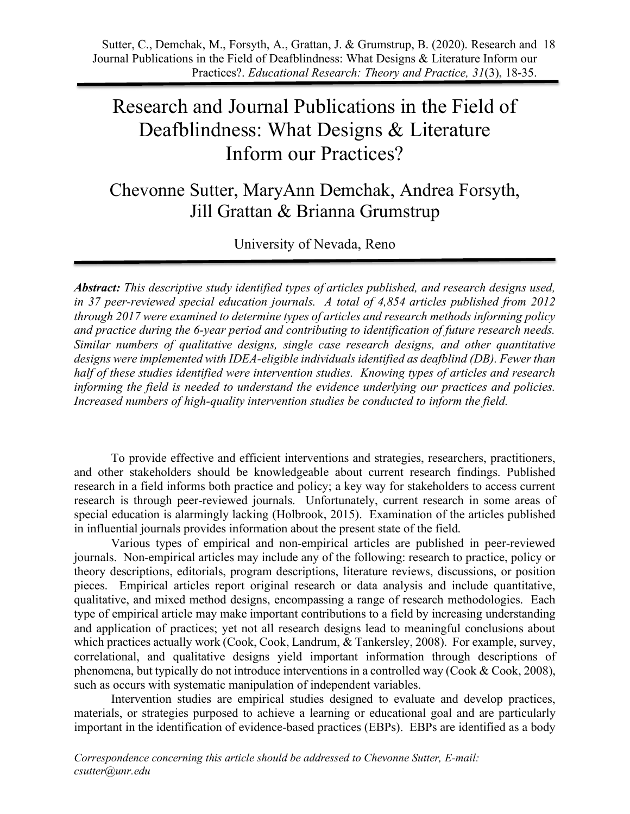# Research and Journal Publications in the Field of Deafblindness: What Designs & Literature Inform our Practices?

Chevonne Sutter, MaryAnn Demchak, Andrea Forsyth, Jill Grattan & Brianna Grumstrup

University of Nevada, Reno

*Abstract: This descriptive study identified types of articles published, and research designs used, in 37 peer-reviewed special education journals. A total of 4,854 articles published from 2012 through 2017 were examined to determine types of articles and research methods informing policy and practice during the 6-year period and contributing to identification of future research needs. Similar numbers of qualitative designs, single case research designs, and other quantitative designs were implemented with IDEA-eligible individuals identified as deafblind (DB). Fewer than half of these studies identified were intervention studies. Knowing types of articles and research informing the field is needed to understand the evidence underlying our practices and policies. Increased numbers of high-quality intervention studies be conducted to inform the field.*

To provide effective and efficient interventions and strategies, researchers, practitioners, and other stakeholders should be knowledgeable about current research findings. Published research in a field informs both practice and policy; a key way for stakeholders to access current research is through peer-reviewed journals. Unfortunately, current research in some areas of special education is alarmingly lacking (Holbrook, 2015). Examination of the articles published in influential journals provides information about the present state of the field.

Various types of empirical and non-empirical articles are published in peer-reviewed journals. Non-empirical articles may include any of the following: research to practice, policy or theory descriptions, editorials, program descriptions, literature reviews, discussions, or position pieces. Empirical articles report original research or data analysis and include quantitative, qualitative, and mixed method designs, encompassing a range of research methodologies. Each type of empirical article may make important contributions to a field by increasing understanding and application of practices; yet not all research designs lead to meaningful conclusions about which practices actually work (Cook, Cook, Landrum, & Tankersley, 2008). For example, survey, correlational, and qualitative designs yield important information through descriptions of phenomena, but typically do not introduce interventions in a controlled way (Cook & Cook, 2008), such as occurs with systematic manipulation of independent variables.

Intervention studies are empirical studies designed to evaluate and develop practices, materials, or strategies purposed to achieve a learning or educational goal and are particularly important in the identification of evidence-based practices (EBPs). EBPs are identified as a body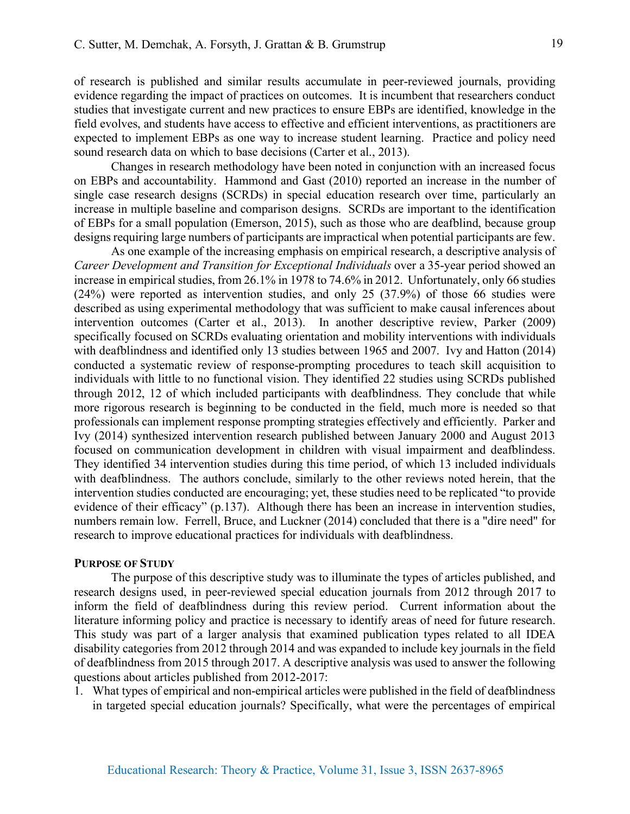of research is published and similar results accumulate in peer-reviewed journals, providing evidence regarding the impact of practices on outcomes. It is incumbent that researchers conduct studies that investigate current and new practices to ensure EBPs are identified, knowledge in the field evolves, and students have access to effective and efficient interventions, as practitioners are expected to implement EBPs as one way to increase student learning. Practice and policy need sound research data on which to base decisions (Carter et al., 2013).

Changes in research methodology have been noted in conjunction with an increased focus on EBPs and accountability. Hammond and Gast (2010) reported an increase in the number of single case research designs (SCRDs) in special education research over time, particularly an increase in multiple baseline and comparison designs. SCRDs are important to the identification of EBPs for a small population (Emerson, 2015), such as those who are deafblind, because group designs requiring large numbers of participants are impractical when potential participants are few.

As one example of the increasing emphasis on empirical research, a descriptive analysis of *Career Development and Transition for Exceptional Individuals* over a 35-year period showed an increase in empirical studies, from 26.1% in 1978 to 74.6% in 2012. Unfortunately, only 66 studies (24%) were reported as intervention studies, and only 25 (37.9%) of those 66 studies were described as using experimental methodology that was sufficient to make causal inferences about intervention outcomes (Carter et al., 2013). In another descriptive review, Parker (2009) specifically focused on SCRDs evaluating orientation and mobility interventions with individuals with deafblindness and identified only 13 studies between 1965 and 2007. Ivy and Hatton (2014) conducted a systematic review of response-prompting procedures to teach skill acquisition to individuals with little to no functional vision. They identified 22 studies using SCRDs published through 2012, 12 of which included participants with deafblindness. They conclude that while more rigorous research is beginning to be conducted in the field, much more is needed so that professionals can implement response prompting strategies effectively and efficiently. Parker and Ivy (2014) synthesized intervention research published between January 2000 and August 2013 focused on communication development in children with visual impairment and deafblindess. They identified 34 intervention studies during this time period, of which 13 included individuals with deafblindness. The authors conclude, similarly to the other reviews noted herein, that the intervention studies conducted are encouraging; yet, these studies need to be replicated "to provide evidence of their efficacy" (p.137). Although there has been an increase in intervention studies, numbers remain low. Ferrell, Bruce, and Luckner (2014) concluded that there is a "dire need" for research to improve educational practices for individuals with deafblindness.

## **PURPOSE OF STUDY**

The purpose of this descriptive study was to illuminate the types of articles published, and research designs used, in peer-reviewed special education journals from 2012 through 2017 to inform the field of deafblindness during this review period. Current information about the literature informing policy and practice is necessary to identify areas of need for future research. This study was part of a larger analysis that examined publication types related to all IDEA disability categories from 2012 through 2014 and was expanded to include key journals in the field of deafblindness from 2015 through 2017. A descriptive analysis was used to answer the following questions about articles published from 2012-2017:

1. What types of empirical and non-empirical articles were published in the field of deafblindness in targeted special education journals? Specifically, what were the percentages of empirical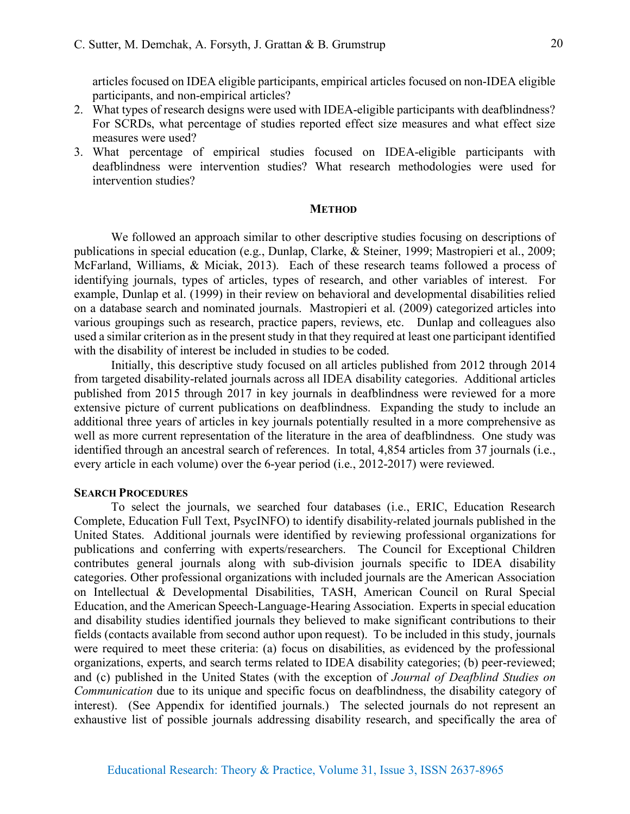articles focused on IDEA eligible participants, empirical articles focused on non-IDEA eligible participants, and non-empirical articles?

- 2. What types of research designs were used with IDEA-eligible participants with deafblindness? For SCRDs, what percentage of studies reported effect size measures and what effect size measures were used?
- 3. What percentage of empirical studies focused on IDEA-eligible participants with deafblindness were intervention studies? What research methodologies were used for intervention studies?

## **METHOD**

We followed an approach similar to other descriptive studies focusing on descriptions of publications in special education (e.g., Dunlap, Clarke, & Steiner, 1999; Mastropieri et al., 2009; McFarland, Williams, & Miciak, 2013). Each of these research teams followed a process of identifying journals, types of articles, types of research, and other variables of interest. For example, Dunlap et al. (1999) in their review on behavioral and developmental disabilities relied on a database search and nominated journals. Mastropieri et al. (2009) categorized articles into various groupings such as research, practice papers, reviews, etc. Dunlap and colleagues also used a similar criterion as in the present study in that they required at least one participant identified with the disability of interest be included in studies to be coded.

Initially, this descriptive study focused on all articles published from 2012 through 2014 from targeted disability-related journals across all IDEA disability categories. Additional articles published from 2015 through 2017 in key journals in deafblindness were reviewed for a more extensive picture of current publications on deafblindness. Expanding the study to include an additional three years of articles in key journals potentially resulted in a more comprehensive as well as more current representation of the literature in the area of deafblindness. One study was identified through an ancestral search of references. In total, 4,854 articles from 37 journals (i.e., every article in each volume) over the 6-year period (i.e., 2012-2017) were reviewed.

## **SEARCH PROCEDURES**

To select the journals, we searched four databases (i.e., ERIC, Education Research Complete, Education Full Text, PsycINFO) to identify disability-related journals published in the United States. Additional journals were identified by reviewing professional organizations for publications and conferring with experts/researchers. The Council for Exceptional Children contributes general journals along with sub-division journals specific to IDEA disability categories. Other professional organizations with included journals are the American Association on Intellectual & Developmental Disabilities, TASH, American Council on Rural Special Education, and the American Speech-Language-Hearing Association. Experts in special education and disability studies identified journals they believed to make significant contributions to their fields (contacts available from second author upon request). To be included in this study, journals were required to meet these criteria: (a) focus on disabilities, as evidenced by the professional organizations, experts, and search terms related to IDEA disability categories; (b) peer-reviewed; and (c) published in the United States (with the exception of *Journal of Deafblind Studies on Communication* due to its unique and specific focus on deafblindness, the disability category of interest). (See Appendix for identified journals.) The selected journals do not represent an exhaustive list of possible journals addressing disability research, and specifically the area of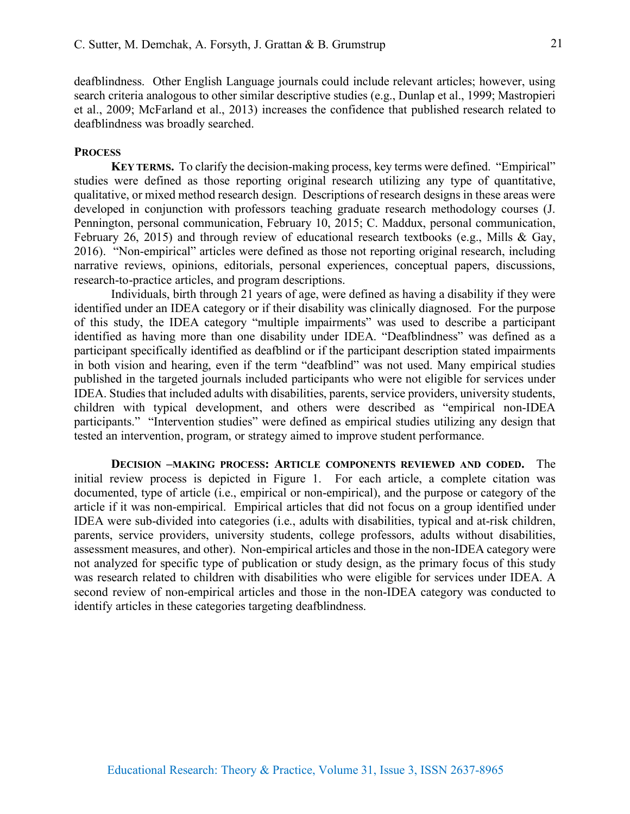deafblindness. Other English Language journals could include relevant articles; however, using search criteria analogous to other similar descriptive studies (e.g., Dunlap et al., 1999; Mastropieri et al., 2009; McFarland et al., 2013) increases the confidence that published research related to deafblindness was broadly searched.

## **PROCESS**

**KEY TERMS.** To clarify the decision-making process, key terms were defined. "Empirical" studies were defined as those reporting original research utilizing any type of quantitative, qualitative, or mixed method research design. Descriptions of research designs in these areas were developed in conjunction with professors teaching graduate research methodology courses (J. Pennington, personal communication, February 10, 2015; C. Maddux, personal communication, February 26, 2015) and through review of educational research textbooks (e.g., Mills & Gay, 2016). "Non-empirical" articles were defined as those not reporting original research, including narrative reviews, opinions, editorials, personal experiences, conceptual papers, discussions, research-to-practice articles, and program descriptions.

Individuals, birth through 21 years of age, were defined as having a disability if they were identified under an IDEA category or if their disability was clinically diagnosed. For the purpose of this study, the IDEA category "multiple impairments" was used to describe a participant identified as having more than one disability under IDEA. "Deafblindness" was defined as a participant specifically identified as deafblind or if the participant description stated impairments in both vision and hearing, even if the term "deafblind" was not used. Many empirical studies published in the targeted journals included participants who were not eligible for services under IDEA. Studies that included adults with disabilities, parents, service providers, university students, children with typical development, and others were described as "empirical non-IDEA participants." "Intervention studies" were defined as empirical studies utilizing any design that tested an intervention, program, or strategy aimed to improve student performance.

**DECISION –MAKING PROCESS: ARTICLE COMPONENTS REVIEWED AND CODED.** The initial review process is depicted in Figure 1. For each article, a complete citation was documented, type of article (i.e., empirical or non-empirical), and the purpose or category of the article if it was non-empirical. Empirical articles that did not focus on a group identified under IDEA were sub-divided into categories (i.e., adults with disabilities, typical and at-risk children, parents, service providers, university students, college professors, adults without disabilities, assessment measures, and other). Non-empirical articles and those in the non-IDEA category were not analyzed for specific type of publication or study design, as the primary focus of this study was research related to children with disabilities who were eligible for services under IDEA. A second review of non-empirical articles and those in the non-IDEA category was conducted to identify articles in these categories targeting deafblindness.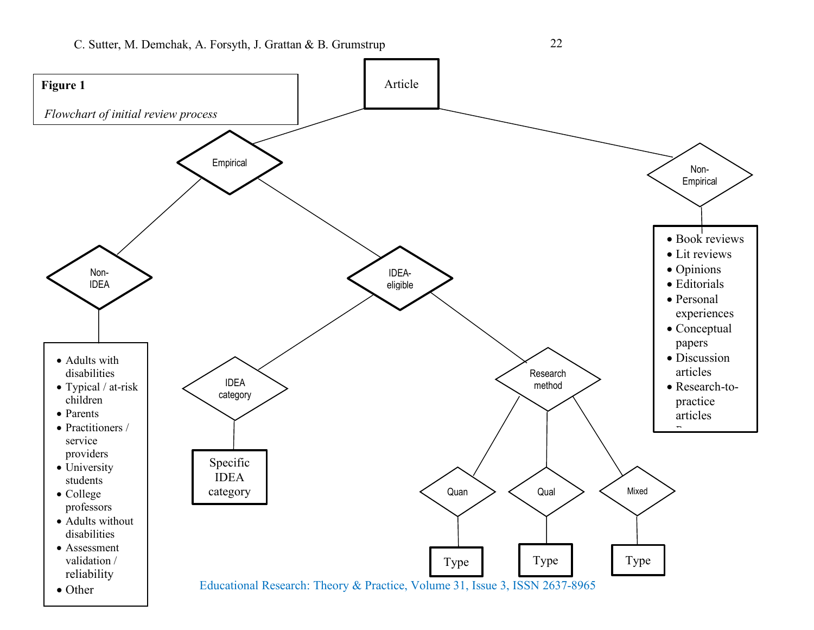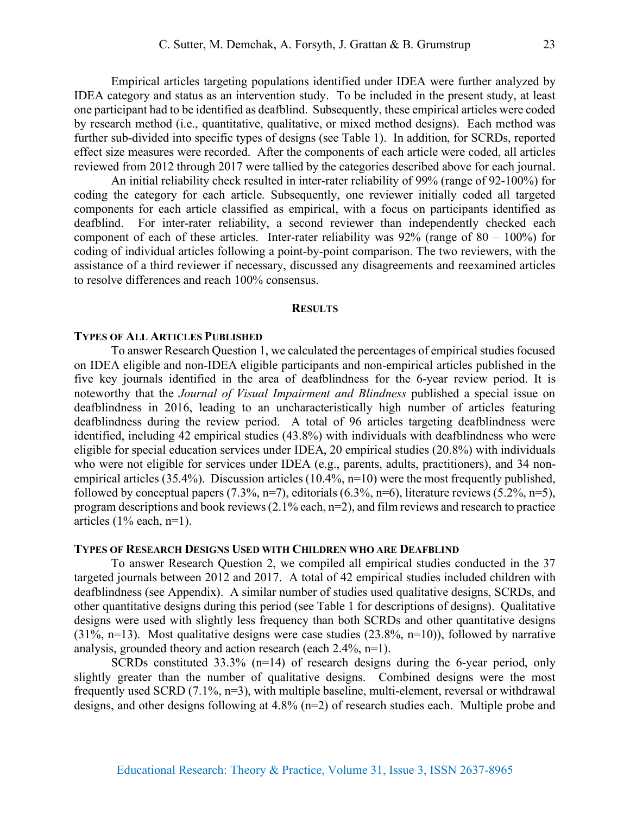Empirical articles targeting populations identified under IDEA were further analyzed by IDEA category and status as an intervention study. To be included in the present study, at least one participant had to be identified as deafblind. Subsequently, these empirical articles were coded by research method (i.e., quantitative, qualitative, or mixed method designs). Each method was further sub-divided into specific types of designs (see Table 1). In addition, for SCRDs, reported effect size measures were recorded. After the components of each article were coded, all articles reviewed from 2012 through 2017 were tallied by the categories described above for each journal.

An initial reliability check resulted in inter-rater reliability of 99% (range of 92-100%) for coding the category for each article. Subsequently, one reviewer initially coded all targeted components for each article classified as empirical, with a focus on participants identified as deafblind. For inter-rater reliability, a second reviewer than independently checked each component of each of these articles. Inter-rater reliability was  $92\%$  (range of  $80 - 100\%$ ) for coding of individual articles following a point-by-point comparison. The two reviewers, with the assistance of a third reviewer if necessary, discussed any disagreements and reexamined articles to resolve differences and reach 100% consensus.

#### **RESULTS**

#### **TYPES OF ALL ARTICLES PUBLISHED**

To answer Research Question 1, we calculated the percentages of empirical studies focused on IDEA eligible and non-IDEA eligible participants and non-empirical articles published in the five key journals identified in the area of deafblindness for the 6-year review period. It is noteworthy that the *Journal of Visual Impairment and Blindness* published a special issue on deafblindness in 2016, leading to an uncharacteristically high number of articles featuring deafblindness during the review period. A total of 96 articles targeting deafblindness were identified, including 42 empirical studies (43.8%) with individuals with deafblindness who were eligible for special education services under IDEA, 20 empirical studies (20.8%) with individuals who were not eligible for services under IDEA (e.g., parents, adults, practitioners), and 34 nonempirical articles (35.4%). Discussion articles (10.4%, n=10) were the most frequently published, followed by conceptual papers  $(7.3\%, n=7)$ , editorials  $(6.3\%, n=6)$ , literature reviews  $(5.2\%, n=5)$ , program descriptions and book reviews (2.1% each, n=2), and film reviews and research to practice articles  $(1\%$  each,  $n=1$ ).

## **TYPES OF RESEARCH DESIGNS USED WITH CHILDREN WHO ARE DEAFBLIND**

To answer Research Question 2, we compiled all empirical studies conducted in the 37 targeted journals between 2012 and 2017. A total of 42 empirical studies included children with deafblindness (see Appendix). A similar number of studies used qualitative designs, SCRDs, and other quantitative designs during this period (see Table 1 for descriptions of designs). Qualitative designs were used with slightly less frequency than both SCRDs and other quantitative designs  $(31\%, n=13)$ . Most qualitative designs were case studies  $(23.8\%, n=10)$ ), followed by narrative analysis, grounded theory and action research (each 2.4%, n=1).

SCRDs constituted 33.3% (n=14) of research designs during the 6-year period, only slightly greater than the number of qualitative designs. Combined designs were the most frequently used SCRD (7.1%, n=3), with multiple baseline, multi-element, reversal or withdrawal designs, and other designs following at 4.8% (n=2) of research studies each. Multiple probe and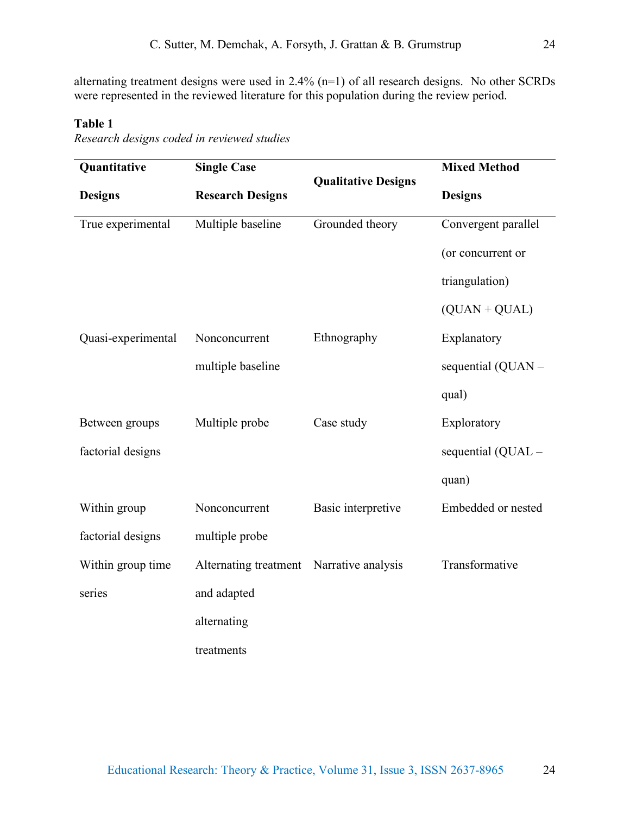alternating treatment designs were used in 2.4% (n=1) of all research designs. No other SCRDs were represented in the reviewed literature for this population during the review period.

## **Table 1**

*Research designs coded in reviewed studies*

| Quantitative       | <b>Single Case</b>      |                            | <b>Mixed Method</b> |
|--------------------|-------------------------|----------------------------|---------------------|
| <b>Designs</b>     | <b>Research Designs</b> | <b>Qualitative Designs</b> | <b>Designs</b>      |
| True experimental  | Multiple baseline       | Grounded theory            | Convergent parallel |
|                    |                         |                            | (or concurrent or   |
|                    |                         |                            | triangulation)      |
|                    |                         |                            | $(QUAN + QUAL)$     |
| Quasi-experimental | Nonconcurrent           | Ethnography                | Explanatory         |
|                    | multiple baseline       |                            | sequential (QUAN -  |
|                    |                         |                            | qual)               |
| Between groups     | Multiple probe          | Case study                 | Exploratory         |
| factorial designs  |                         |                            | sequential (QUAL -  |
|                    |                         |                            | quan)               |
| Within group       | Nonconcurrent           | Basic interpretive         | Embedded or nested  |
| factorial designs  | multiple probe          |                            |                     |
| Within group time  | Alternating treatment   | Narrative analysis         | Transformative      |
| series             | and adapted             |                            |                     |
|                    | alternating             |                            |                     |
|                    | treatments              |                            |                     |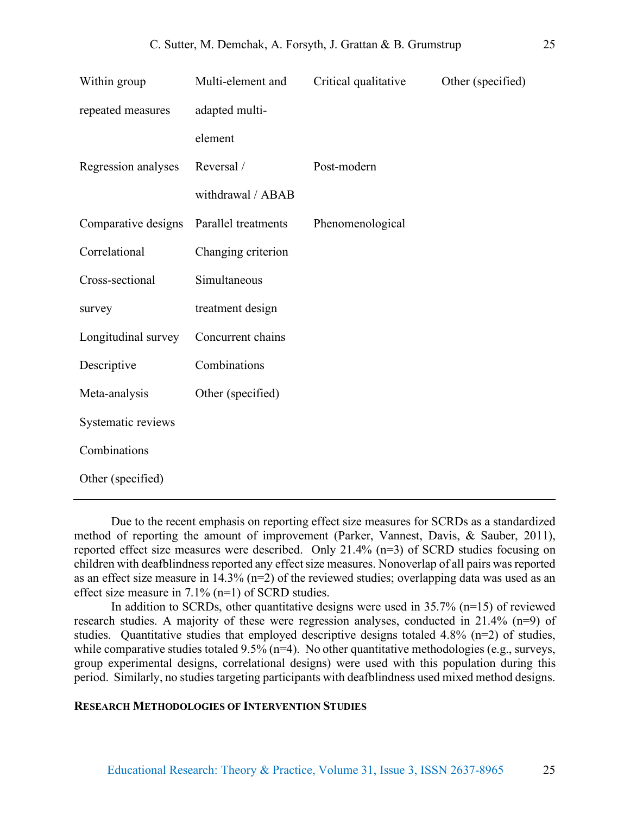| Within group        | Multi-element and   | Critical qualitative | Other (specified) |
|---------------------|---------------------|----------------------|-------------------|
| repeated measures   | adapted multi-      |                      |                   |
|                     | element             |                      |                   |
| Regression analyses | Reversal /          | Post-modern          |                   |
|                     | withdrawal / ABAB   |                      |                   |
| Comparative designs | Parallel treatments | Phenomenological     |                   |
| Correlational       | Changing criterion  |                      |                   |
| Cross-sectional     | Simultaneous        |                      |                   |
| survey              | treatment design    |                      |                   |
| Longitudinal survey | Concurrent chains   |                      |                   |
| Descriptive         | Combinations        |                      |                   |
| Meta-analysis       | Other (specified)   |                      |                   |
| Systematic reviews  |                     |                      |                   |
| Combinations        |                     |                      |                   |
| Other (specified)   |                     |                      |                   |

Due to the recent emphasis on reporting effect size measures for SCRDs as a standardized method of reporting the amount of improvement (Parker, Vannest, Davis, & Sauber, 2011), reported effect size measures were described. Only 21.4% (n=3) of SCRD studies focusing on children with deafblindness reported any effect size measures. Nonoverlap of all pairs was reported as an effect size measure in 14.3% (n=2) of the reviewed studies; overlapping data was used as an effect size measure in 7.1% (n=1) of SCRD studies.

In addition to SCRDs, other quantitative designs were used in  $35.7\%$  (n=15) of reviewed research studies. A majority of these were regression analyses, conducted in 21.4% (n=9) of studies. Quantitative studies that employed descriptive designs totaled 4.8% (n=2) of studies, while comparative studies totaled  $9.5\%$  (n=4). No other quantitative methodologies (e.g., surveys, group experimental designs, correlational designs) were used with this population during this period. Similarly, no studies targeting participants with deafblindness used mixed method designs.

## **RESEARCH METHODOLOGIES OF INTERVENTION STUDIES**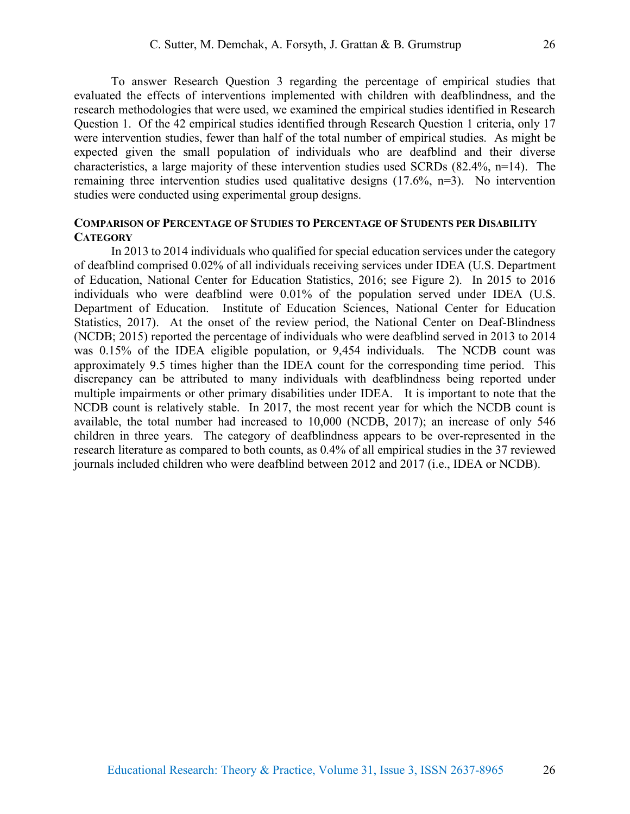To answer Research Question 3 regarding the percentage of empirical studies that evaluated the effects of interventions implemented with children with deafblindness, and the research methodologies that were used, we examined the empirical studies identified in Research Question 1. Of the 42 empirical studies identified through Research Question 1 criteria, only 17 were intervention studies, fewer than half of the total number of empirical studies. As might be expected given the small population of individuals who are deafblind and their diverse characteristics, a large majority of these intervention studies used SCRDs (82.4%, n=14). The remaining three intervention studies used qualitative designs (17.6%, n=3). No intervention studies were conducted using experimental group designs.

## **COMPARISON OF PERCENTAGE OF STUDIES TO PERCENTAGE OF STUDENTS PER DISABILITY CATEGORY**

In 2013 to 2014 individuals who qualified for special education services under the category of deafblind comprised 0.02% of all individuals receiving services under IDEA (U.S. Department of Education, National Center for Education Statistics, 2016; see Figure 2). In 2015 to 2016 individuals who were deafblind were 0.01% of the population served under IDEA (U.S. Department of Education. Institute of Education Sciences, National Center for Education Statistics, 2017). At the onset of the review period, the National Center on Deaf-Blindness (NCDB; 2015) reported the percentage of individuals who were deafblind served in 2013 to 2014 was 0.15% of the IDEA eligible population, or 9,454 individuals. The NCDB count was approximately 9.5 times higher than the IDEA count for the corresponding time period. This discrepancy can be attributed to many individuals with deafblindness being reported under multiple impairments or other primary disabilities under IDEA. It is important to note that the NCDB count is relatively stable. In 2017, the most recent year for which the NCDB count is available, the total number had increased to 10,000 (NCDB, 2017); an increase of only 546 children in three years. The category of deafblindness appears to be over-represented in the research literature as compared to both counts, as 0.4% of all empirical studies in the 37 reviewed journals included children who were deafblind between 2012 and 2017 (i.e., IDEA or NCDB).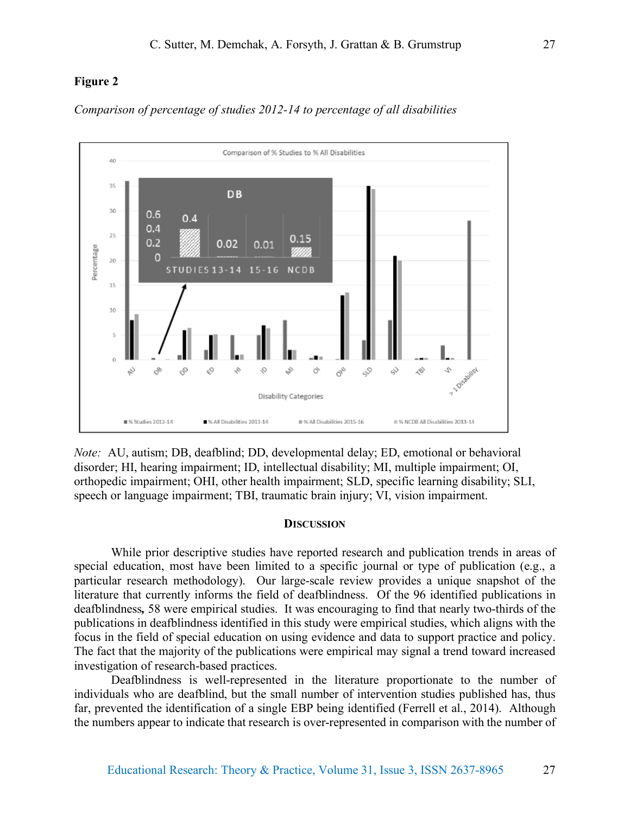## **Figure 2**





*Note:* AU, autism; DB, deafblind; DD, developmental delay; ED, emotional or behavioral disorder; HI, hearing impairment; ID, intellectual disability; MI, multiple impairment; OI, orthopedic impairment; OHI, other health impairment; SLD, specific learning disability; SLI, speech or language impairment; TBI, traumatic brain injury; VI, vision impairment.

#### **DISCUSSION**

While prior descriptive studies have reported research and publication trends in areas of special education, most have been limited to a specific journal or type of publication (e.g., a particular research methodology). Our large-scale review provides a unique snapshot of the literature that currently informs the field of deafblindness. Of the 96 identified publications in deafblindness*,* 58 were empirical studies. It was encouraging to find that nearly two-thirds of the publications in deafblindness identified in this study were empirical studies, which aligns with the focus in the field of special education on using evidence and data to support practice and policy. The fact that the majority of the publications were empirical may signal a trend toward increased investigation of research-based practices.

Deafblindness is well-represented in the literature proportionate to the number of individuals who are deafblind, but the small number of intervention studies published has, thus far, prevented the identification of a single EBP being identified (Ferrell et al., 2014). Although the numbers appear to indicate that research is over-represented in comparison with the number of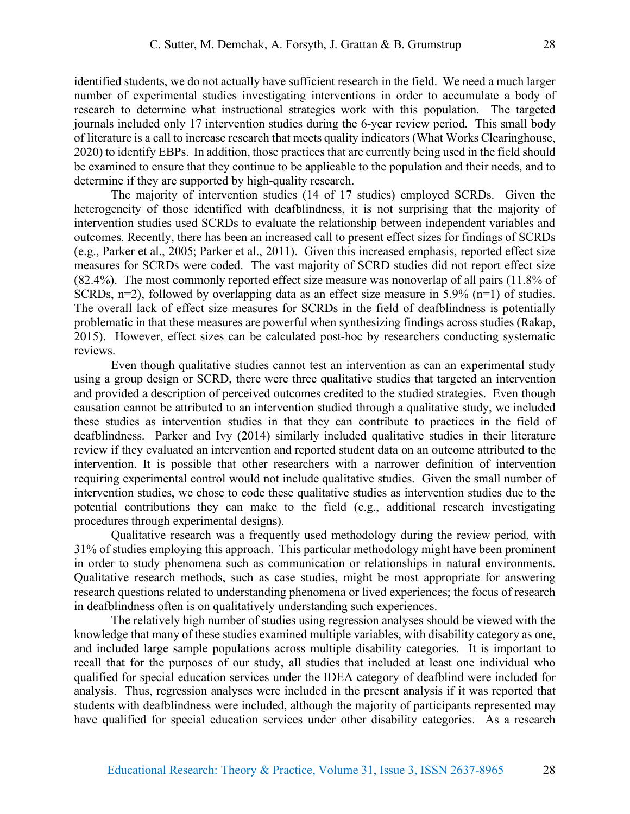identified students, we do not actually have sufficient research in the field. We need a much larger number of experimental studies investigating interventions in order to accumulate a body of research to determine what instructional strategies work with this population. The targeted journals included only 17 intervention studies during the 6-year review period. This small body of literature is a call to increase research that meets quality indicators (What Works Clearinghouse, 2020) to identify EBPs. In addition, those practices that are currently being used in the field should be examined to ensure that they continue to be applicable to the population and their needs, and to determine if they are supported by high-quality research.

The majority of intervention studies (14 of 17 studies) employed SCRDs. Given the heterogeneity of those identified with deafblindness, it is not surprising that the majority of intervention studies used SCRDs to evaluate the relationship between independent variables and outcomes. Recently, there has been an increased call to present effect sizes for findings of SCRDs (e.g., Parker et al., 2005; Parker et al., 2011). Given this increased emphasis, reported effect size measures for SCRDs were coded. The vast majority of SCRD studies did not report effect size (82.4%). The most commonly reported effect size measure was nonoverlap of all pairs (11.8% of SCRDs,  $n=2$ ), followed by overlapping data as an effect size measure in 5.9% ( $n=1$ ) of studies. The overall lack of effect size measures for SCRDs in the field of deafblindness is potentially problematic in that these measures are powerful when synthesizing findings across studies (Rakap, 2015). However, effect sizes can be calculated post-hoc by researchers conducting systematic reviews.

Even though qualitative studies cannot test an intervention as can an experimental study using a group design or SCRD, there were three qualitative studies that targeted an intervention and provided a description of perceived outcomes credited to the studied strategies. Even though causation cannot be attributed to an intervention studied through a qualitative study, we included these studies as intervention studies in that they can contribute to practices in the field of deafblindness. Parker and Ivy (2014) similarly included qualitative studies in their literature review if they evaluated an intervention and reported student data on an outcome attributed to the intervention. It is possible that other researchers with a narrower definition of intervention requiring experimental control would not include qualitative studies. Given the small number of intervention studies, we chose to code these qualitative studies as intervention studies due to the potential contributions they can make to the field (e.g., additional research investigating procedures through experimental designs).

Qualitative research was a frequently used methodology during the review period, with 31% of studies employing this approach. This particular methodology might have been prominent in order to study phenomena such as communication or relationships in natural environments. Qualitative research methods, such as case studies, might be most appropriate for answering research questions related to understanding phenomena or lived experiences; the focus of research in deafblindness often is on qualitatively understanding such experiences.

The relatively high number of studies using regression analyses should be viewed with the knowledge that many of these studies examined multiple variables, with disability category as one, and included large sample populations across multiple disability categories. It is important to recall that for the purposes of our study, all studies that included at least one individual who qualified for special education services under the IDEA category of deafblind were included for analysis. Thus, regression analyses were included in the present analysis if it was reported that students with deafblindness were included, although the majority of participants represented may have qualified for special education services under other disability categories. As a research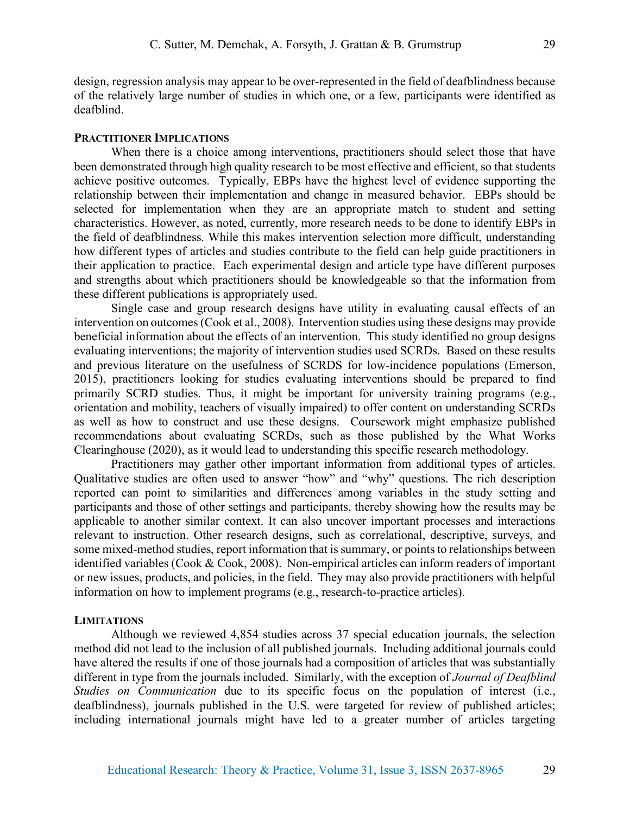design, regression analysis may appear to be over-represented in the field of deafblindness because of the relatively large number of studies in which one, or a few, participants were identified as deafblind.

## **PRACTITIONER IMPLICATIONS**

When there is a choice among interventions, practitioners should select those that have been demonstrated through high quality research to be most effective and efficient, so that students achieve positive outcomes. Typically, EBPs have the highest level of evidence supporting the relationship between their implementation and change in measured behavior. EBPs should be selected for implementation when they are an appropriate match to student and setting characteristics. However, as noted, currently, more research needs to be done to identify EBPs in the field of deafblindness. While this makes intervention selection more difficult, understanding how different types of articles and studies contribute to the field can help guide practitioners in their application to practice. Each experimental design and article type have different purposes and strengths about which practitioners should be knowledgeable so that the information from these different publications is appropriately used.

Single case and group research designs have utility in evaluating causal effects of an intervention on outcomes (Cook et al., 2008). Intervention studies using these designs may provide beneficial information about the effects of an intervention. This study identified no group designs evaluating interventions; the majority of intervention studies used SCRDs. Based on these results and previous literature on the usefulness of SCRDS for low-incidence populations (Emerson, 2015), practitioners looking for studies evaluating interventions should be prepared to find primarily SCRD studies. Thus, it might be important for university training programs (e.g., orientation and mobility, teachers of visually impaired) to offer content on understanding SCRDs as well as how to construct and use these designs. Coursework might emphasize published recommendations about evaluating SCRDs, such as those published by the What Works Clearinghouse (2020), as it would lead to understanding this specific research methodology.

Practitioners may gather other important information from additional types of articles. Qualitative studies are often used to answer "how" and "why" questions. The rich description reported can point to similarities and differences among variables in the study setting and participants and those of other settings and participants, thereby showing how the results may be applicable to another similar context. It can also uncover important processes and interactions relevant to instruction. Other research designs, such as correlational, descriptive, surveys, and some mixed-method studies, report information that is summary, or points to relationships between identified variables (Cook & Cook, 2008). Non-empirical articles can inform readers of important or new issues, products, and policies, in the field. They may also provide practitioners with helpful information on how to implement programs (e.g., research-to-practice articles).

## **LIMITATIONS**

Although we reviewed 4,854 studies across 37 special education journals, the selection method did not lead to the inclusion of all published journals. Including additional journals could have altered the results if one of those journals had a composition of articles that was substantially different in type from the journals included. Similarly, with the exception of *Journal of Deafblind Studies on Communication* due to its specific focus on the population of interest (i.e., deafblindness), journals published in the U.S. were targeted for review of published articles; including international journals might have led to a greater number of articles targeting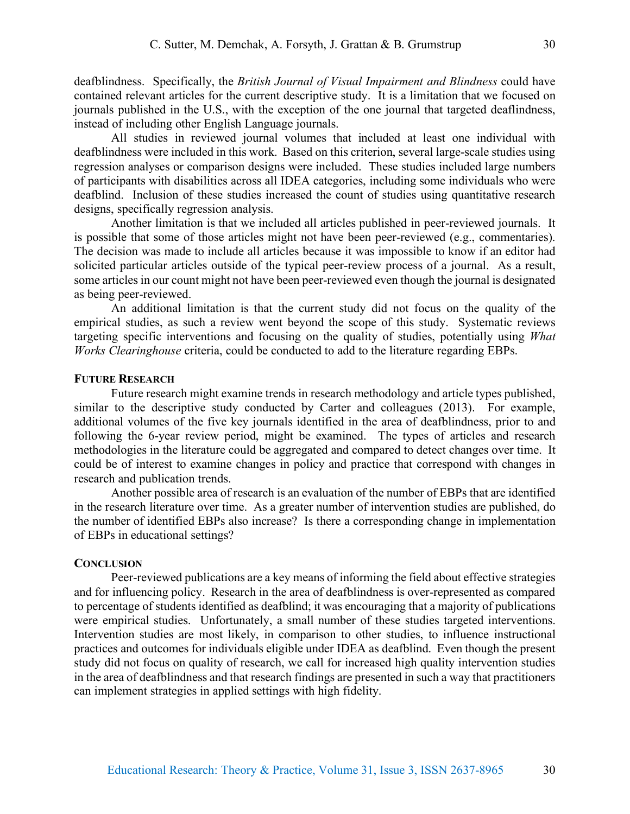deafblindness. Specifically, the *British Journal of Visual Impairment and Blindness* could have contained relevant articles for the current descriptive study. It is a limitation that we focused on journals published in the U.S., with the exception of the one journal that targeted deaflindness, instead of including other English Language journals.

All studies in reviewed journal volumes that included at least one individual with deafblindness were included in this work. Based on this criterion, several large-scale studies using regression analyses or comparison designs were included. These studies included large numbers of participants with disabilities across all IDEA categories, including some individuals who were deafblind. Inclusion of these studies increased the count of studies using quantitative research designs, specifically regression analysis.

Another limitation is that we included all articles published in peer-reviewed journals. It is possible that some of those articles might not have been peer-reviewed (e.g., commentaries). The decision was made to include all articles because it was impossible to know if an editor had solicited particular articles outside of the typical peer-review process of a journal. As a result, some articles in our count might not have been peer-reviewed even though the journal is designated as being peer-reviewed.

An additional limitation is that the current study did not focus on the quality of the empirical studies, as such a review went beyond the scope of this study. Systematic reviews targeting specific interventions and focusing on the quality of studies, potentially using *What Works Clearinghouse* criteria, could be conducted to add to the literature regarding EBPs.

## **FUTURE RESEARCH**

Future research might examine trends in research methodology and article types published, similar to the descriptive study conducted by Carter and colleagues (2013). For example, additional volumes of the five key journals identified in the area of deafblindness, prior to and following the 6-year review period, might be examined. The types of articles and research methodologies in the literature could be aggregated and compared to detect changes over time. It could be of interest to examine changes in policy and practice that correspond with changes in research and publication trends.

Another possible area of research is an evaluation of the number of EBPs that are identified in the research literature over time. As a greater number of intervention studies are published, do the number of identified EBPs also increase? Is there a corresponding change in implementation of EBPs in educational settings?

## **CONCLUSION**

Peer-reviewed publications are a key means of informing the field about effective strategies and for influencing policy. Research in the area of deafblindness is over-represented as compared to percentage of students identified as deafblind; it was encouraging that a majority of publications were empirical studies. Unfortunately, a small number of these studies targeted interventions. Intervention studies are most likely, in comparison to other studies, to influence instructional practices and outcomes for individuals eligible under IDEA as deafblind. Even though the present study did not focus on quality of research, we call for increased high quality intervention studies in the area of deafblindness and that research findings are presented in such a way that practitioners can implement strategies in applied settings with high fidelity.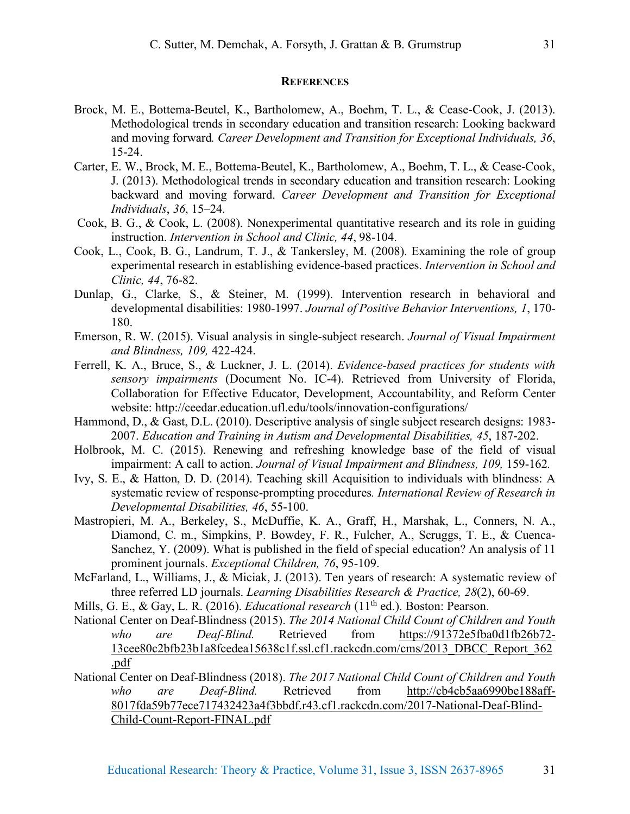## **REFERENCES**

- Brock, M. E., Bottema-Beutel, K., Bartholomew, A., Boehm, T. L., & Cease-Cook, J. (2013). Methodological trends in secondary education and transition research: Looking backward and moving forward*. Career Development and Transition for Exceptional Individuals, 36*, 15-24.
- Carter, E. W., Brock, M. E., Bottema-Beutel, K., Bartholomew, A., Boehm, T. L., & Cease-Cook, J. (2013). Methodological trends in secondary education and transition research: Looking backward and moving forward. *Career Development and Transition for Exceptional Individuals*, *36*, 15–24.
- Cook, B. G., & Cook, L. (2008). Nonexperimental quantitative research and its role in guiding instruction. *Intervention in School and Clinic, 44*, 98-104.
- Cook, L., Cook, B. G., Landrum, T. J., & Tankersley, M. (2008). Examining the role of group experimental research in establishing evidence-based practices. *Intervention in School and Clinic, 44*, 76-82.
- Dunlap, G., Clarke, S., & Steiner, M. (1999). Intervention research in behavioral and developmental disabilities: 1980-1997. *Journal of Positive Behavior Interventions, 1*, 170- 180.
- Emerson, R. W. (2015). Visual analysis in single-subject research. *Journal of Visual Impairment and Blindness, 109,* 422-424.
- Ferrell, K. A., Bruce, S., & Luckner, J. L. (2014). *Evidence-based practices for students with sensory impairments* (Document No. IC-4). Retrieved from University of Florida, Collaboration for Effective Educator, Development, Accountability, and Reform Center website: http://ceedar.education.ufl.edu/tools/innovation-configurations/
- Hammond, D., & Gast, D.L. (2010). Descriptive analysis of single subject research designs: 1983- 2007. *Education and Training in Autism and Developmental Disabilities, 45*, 187-202.
- Holbrook, M. C. (2015). Renewing and refreshing knowledge base of the field of visual impairment: A call to action. *Journal of Visual Impairment and Blindness, 109, 159-162*.
- Ivy, S. E., & Hatton, D. D. (2014). Teaching skill Acquisition to individuals with blindness: A systematic review of response-prompting procedures*. International Review of Research in Developmental Disabilities, 46*, 55-100.
- Mastropieri, M. A., Berkeley, S., McDuffie, K. A., Graff, H., Marshak, L., Conners, N. A., Diamond, C. m., Simpkins, P. Bowdey, F. R., Fulcher, A., Scruggs, T. E., & Cuenca-Sanchez, Y. (2009). What is published in the field of special education? An analysis of 11 prominent journals. *Exceptional Children, 76*, 95-109.
- McFarland, L., Williams, J., & Miciak, J. (2013). Ten years of research: A systematic review of three referred LD journals. *Learning Disabilities Research & Practice, 28*(2), 60-69.
- Mills, G. E., & Gay, L. R. (2016). *Educational research* (11<sup>th</sup> ed.). Boston: Pearson.
- National Center on Deaf-Blindness (2015). *The 2014 National Child Count of Children and Youth who are Deaf-Blind.* Retrieved from https://91372e5fba0d1fb26b72- 13cee80c2bfb23b1a8fcedea15638c1f.ssl.cf1.rackcdn.com/cms/2013\_DBCC\_Report\_362 .pdf
- National Center on Deaf-Blindness (2018). *The 2017 National Child Count of Children and Youth who are Deaf-Blind.* Retrieved from http://cb4cb5aa6990be188aff-8017fda59b77ece717432423a4f3bbdf.r43.cf1.rackcdn.com/2017-National-Deaf-Blind-Child-Count-Report-FINAL.pdf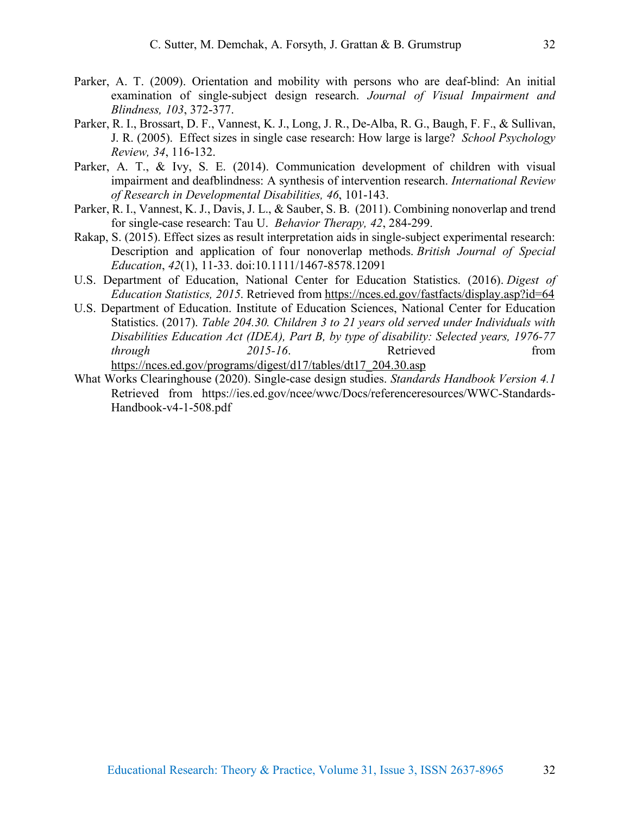- Parker, A. T. (2009). Orientation and mobility with persons who are deaf-blind: An initial examination of single-subject design research. *Journal of Visual Impairment and Blindness, 103*, 372-377.
- Parker, R. I., Brossart, D. F., Vannest, K. J., Long, J. R., De-Alba, R. G., Baugh, F. F., & Sullivan, J. R. (2005). Effect sizes in single case research: How large is large? *School Psychology Review, 34*, 116-132.
- Parker, A. T., & Ivy, S. E. (2014). Communication development of children with visual impairment and deafblindness: A synthesis of intervention research. *International Review of Research in Developmental Disabilities, 46*, 101-143.
- Parker, R. I., Vannest, K. J., Davis, J. L., & Sauber, S. B. (2011). Combining nonoverlap and trend for single-case research: Tau U. *Behavior Therapy, 42*, 284-299.
- Rakap, S. (2015). Effect sizes as result interpretation aids in single-subject experimental research: Description and application of four nonoverlap methods. *British Journal of Special Education*, *42*(1), 11-33. doi:10.1111/1467-8578.12091
- U.S. Department of Education, National Center for Education Statistics. (2016). *Digest of Education Statistics, 2015*. Retrieved from https://nces.ed.gov/fastfacts/display.asp?id=64
- U.S. Department of Education. Institute of Education Sciences, National Center for Education Statistics. (2017). *Table 204.30. Children 3 to 21 years old served under Individuals with Disabilities Education Act (IDEA), Part B, by type of disability: Selected years, 1976-77 through* 2015-16. Retrieved from https://nces.ed.gov/programs/digest/d17/tables/dt17\_204.30.asp
- What Works Clearinghouse (2020). Single-case design studies. *Standards Handbook Version 4.1* Retrieved from https://ies.ed.gov/ncee/wwc/Docs/referenceresources/WWC-Standards-Handbook-v4-1-508.pdf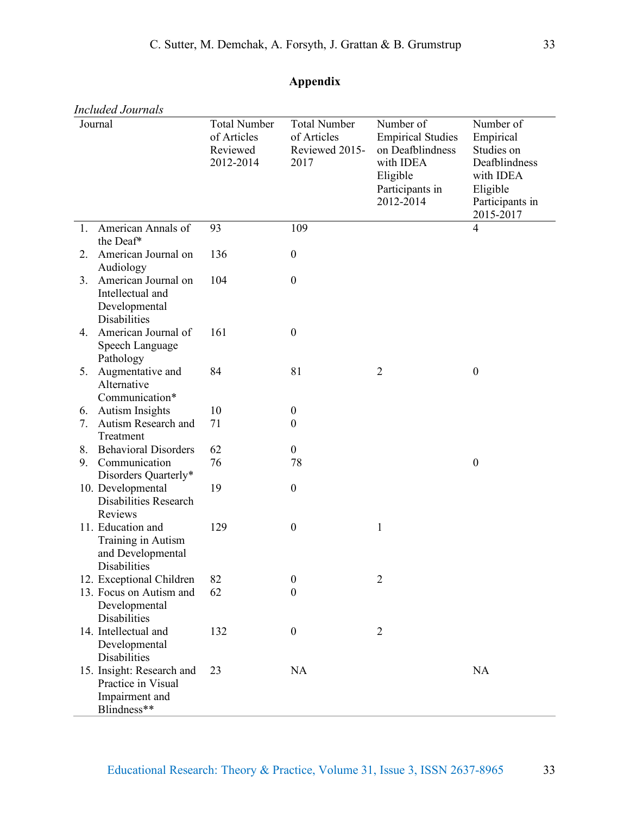|    | <b>Included Journals</b>                                                         |                                                             |                                                              |                                                                                                                    |                                                                                                                |
|----|----------------------------------------------------------------------------------|-------------------------------------------------------------|--------------------------------------------------------------|--------------------------------------------------------------------------------------------------------------------|----------------------------------------------------------------------------------------------------------------|
|    | Journal                                                                          | <b>Total Number</b><br>of Articles<br>Reviewed<br>2012-2014 | <b>Total Number</b><br>of Articles<br>Reviewed 2015-<br>2017 | Number of<br><b>Empirical Studies</b><br>on Deafblindness<br>with IDEA<br>Eligible<br>Participants in<br>2012-2014 | Number of<br>Empirical<br>Studies on<br>Deafblindness<br>with IDEA<br>Eligible<br>Participants in<br>2015-2017 |
| 1. | American Annals of<br>the Deaf*                                                  | 93                                                          | 109                                                          |                                                                                                                    | $\overline{4}$                                                                                                 |
| 2. | American Journal on<br>Audiology                                                 | 136                                                         | $\boldsymbol{0}$                                             |                                                                                                                    |                                                                                                                |
| 3. | American Journal on<br>Intellectual and<br>Developmental<br><b>Disabilities</b>  | 104                                                         | $\boldsymbol{0}$                                             |                                                                                                                    |                                                                                                                |
| 4. | American Journal of<br>Speech Language<br>Pathology                              | 161                                                         | $\boldsymbol{0}$                                             |                                                                                                                    |                                                                                                                |
| 5. | Augmentative and<br>Alternative<br>Communication*                                | 84                                                          | 81                                                           | $\overline{2}$                                                                                                     | $\boldsymbol{0}$                                                                                               |
| 6. | <b>Autism Insights</b>                                                           | 10                                                          | $\boldsymbol{0}$                                             |                                                                                                                    |                                                                                                                |
| 7. | Autism Research and<br>Treatment                                                 | 71                                                          | $\boldsymbol{0}$                                             |                                                                                                                    |                                                                                                                |
| 8. | <b>Behavioral Disorders</b>                                                      | 62                                                          | $\boldsymbol{0}$                                             |                                                                                                                    |                                                                                                                |
| 9. | Communication<br>Disorders Quarterly*                                            | 76                                                          | 78                                                           |                                                                                                                    | $\boldsymbol{0}$                                                                                               |
|    | 10. Developmental<br><b>Disabilities Research</b><br><b>Reviews</b>              | 19                                                          | $\boldsymbol{0}$                                             |                                                                                                                    |                                                                                                                |
|    | 11. Education and<br>Training in Autism<br>and Developmental<br>Disabilities     | 129                                                         | $\boldsymbol{0}$                                             | $\mathbf{1}$                                                                                                       |                                                                                                                |
|    | 12. Exceptional Children                                                         | 82                                                          | $\boldsymbol{0}$                                             | $\overline{2}$                                                                                                     |                                                                                                                |
|    | 13. Focus on Autism and<br>Developmental<br>Disabilities                         | 62                                                          | $\boldsymbol{0}$                                             |                                                                                                                    |                                                                                                                |
|    | 14. Intellectual and<br>Developmental<br><b>Disabilities</b>                     | 132                                                         | $\boldsymbol{0}$                                             | $\overline{2}$                                                                                                     |                                                                                                                |
|    | 15. Insight: Research and<br>Practice in Visual<br>Impairment and<br>Blindness** | 23                                                          | NA                                                           |                                                                                                                    | NA                                                                                                             |

## **Appendix**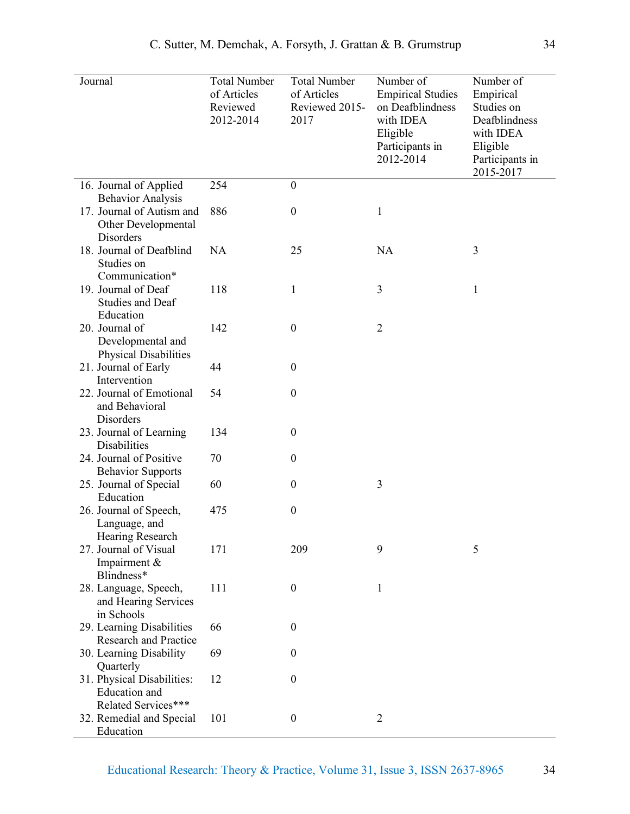| Journal                                                             | <b>Total Number</b><br>of Articles<br>Reviewed<br>2012-2014 | <b>Total Number</b><br>of Articles<br>Reviewed 2015-<br>2017 | Number of<br><b>Empirical Studies</b><br>on Deafblindness<br>with IDEA<br>Eligible<br>Participants in<br>2012-2014 | Number of<br>Empirical<br>Studies on<br>Deafblindness<br>with IDEA<br>Eligible<br>Participants in<br>2015-2017 |
|---------------------------------------------------------------------|-------------------------------------------------------------|--------------------------------------------------------------|--------------------------------------------------------------------------------------------------------------------|----------------------------------------------------------------------------------------------------------------|
| 16. Journal of Applied<br><b>Behavior Analysis</b>                  | 254                                                         | $\boldsymbol{0}$                                             |                                                                                                                    |                                                                                                                |
| 17. Journal of Autism and<br>Other Developmental<br>Disorders       | 886                                                         | $\boldsymbol{0}$                                             | $\mathbf{1}$                                                                                                       |                                                                                                                |
| 18. Journal of Deafblind<br>Studies on<br>Communication*            | <b>NA</b>                                                   | 25                                                           | NA                                                                                                                 | 3                                                                                                              |
| 19. Journal of Deaf<br><b>Studies and Deaf</b><br>Education         | 118                                                         | 1                                                            | 3                                                                                                                  | $\mathbf{1}$                                                                                                   |
| 20. Journal of<br>Developmental and<br><b>Physical Disabilities</b> | 142                                                         | $\boldsymbol{0}$                                             | $\overline{2}$                                                                                                     |                                                                                                                |
| 21. Journal of Early<br>Intervention                                | 44                                                          | $\boldsymbol{0}$                                             |                                                                                                                    |                                                                                                                |
| 22. Journal of Emotional<br>and Behavioral<br>Disorders             | 54                                                          | $\boldsymbol{0}$                                             |                                                                                                                    |                                                                                                                |
| 23. Journal of Learning<br>Disabilities                             | 134                                                         | $\boldsymbol{0}$                                             |                                                                                                                    |                                                                                                                |
| 24. Journal of Positive<br><b>Behavior Supports</b>                 | 70                                                          | $\mathbf{0}$                                                 |                                                                                                                    |                                                                                                                |
| 25. Journal of Special<br>Education                                 | 60                                                          | $\boldsymbol{0}$                                             | 3                                                                                                                  |                                                                                                                |
| 26. Journal of Speech,<br>Language, and<br>Hearing Research         | 475                                                         | $\boldsymbol{0}$                                             |                                                                                                                    |                                                                                                                |
| 27. Journal of Visual<br>Impairment $\&$<br>Blindness*              | 171                                                         | 209                                                          | 9                                                                                                                  | 5                                                                                                              |
| 28. Language, Speech,<br>and Hearing Services<br>in Schools         | 111                                                         | $\boldsymbol{0}$                                             | 1                                                                                                                  |                                                                                                                |
| 29. Learning Disabilities<br>Research and Practice                  | 66                                                          | $\boldsymbol{0}$                                             |                                                                                                                    |                                                                                                                |
| 30. Learning Disability<br>Quarterly                                | 69                                                          | $\theta$                                                     |                                                                                                                    |                                                                                                                |
| 31. Physical Disabilities:<br>Education and<br>Related Services***  | 12                                                          | $\overline{0}$                                               |                                                                                                                    |                                                                                                                |
| 32. Remedial and Special<br>Education                               | 101                                                         | $\boldsymbol{0}$                                             | $\overline{2}$                                                                                                     |                                                                                                                |